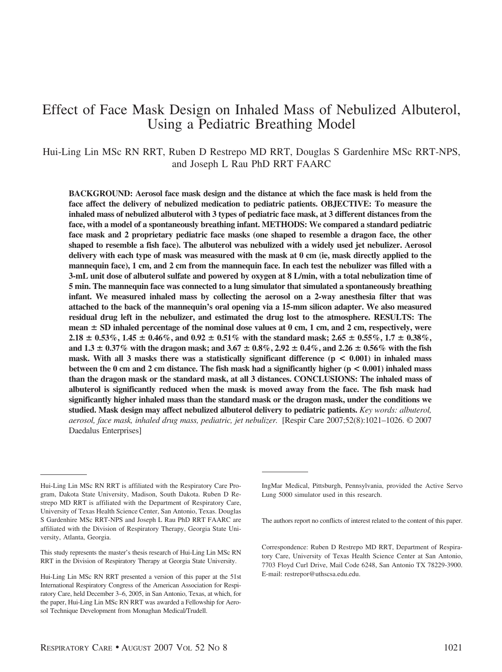# Effect of Face Mask Design on Inhaled Mass of Nebulized Albuterol, Using a Pediatric Breathing Model

Hui-Ling Lin MSc RN RRT, Ruben D Restrepo MD RRT, Douglas S Gardenhire MSc RRT-NPS, and Joseph L Rau PhD RRT FAARC

**BACKGROUND: Aerosol face mask design and the distance at which the face mask is held from the face affect the delivery of nebulized medication to pediatric patients. OBJECTIVE: To measure the inhaled mass of nebulized albuterol with 3 types of pediatric face mask, at 3 different distances from the face, with a model of a spontaneously breathing infant. METHODS: We compared a standard pediatric face mask and 2 proprietary pediatric face masks (one shaped to resemble a dragon face, the other shaped to resemble a fish face). The albuterol was nebulized with a widely used jet nebulizer. Aerosol delivery with each type of mask was measured with the mask at 0 cm (ie, mask directly applied to the mannequin face), 1 cm, and 2 cm from the mannequin face. In each test the nebulizer was filled with a 3-mL unit dose of albuterol sulfate and powered by oxygen at 8 L/min, with a total nebulization time of 5 min. The mannequin face was connected to a lung simulator that simulated a spontaneously breathing infant. We measured inhaled mass by collecting the aerosol on a 2-way anesthesia filter that was attached to the back of the mannequin's oral opening via a 15-mm silicon adapter. We also measured residual drug left in the nebulizer, and estimated the drug lost to the atmosphere. RESULTS: The mean SD inhaled percentage of the nominal dose values at 0 cm, 1 cm, and 2 cm, respectively, were**  $2.18 \pm 0.53\%$ ,  $1.45 \pm 0.46\%$ , and  $0.92 \pm 0.51\%$  with the standard mask;  $2.65 \pm 0.55\%$ ,  $1.7 \pm 0.38\%$ , and  $1.3 \pm 0.37\%$  with the dragon mask; and  $3.67 \pm 0.8\%$ ,  $2.92 \pm 0.4\%$ , and  $2.26 \pm 0.56\%$  with the fish **mask. With all 3 masks there was a statistically significant difference (p < 0.001) in inhaled mass between the 0 cm and 2 cm distance. The fish mask had a significantly higher (p < 0.001) inhaled mass than the dragon mask or the standard mask, at all 3 distances. CONCLUSIONS: The inhaled mass of albuterol is significantly reduced when the mask is moved away from the face. The fish mask had significantly higher inhaled mass than the standard mask or the dragon mask, under the conditions we studied. Mask design may affect nebulized albuterol delivery to pediatric patients.** *Key words: albuterol, aerosol, face mask, inhaled drug mass, pediatric, jet nebulizer.* [Respir Care 2007;52(8):1021–1026. © 2007 Daedalus Enterprises]

This study represents the master's thesis research of Hui-Ling Lin MSc RN RRT in the Division of Respiratory Therapy at Georgia State University.

IngMar Medical, Pittsburgh, Pennsylvania, provided the Active Servo Lung 5000 simulator used in this research.

The authors report no conflicts of interest related to the content of this paper.

Hui-Ling Lin MSc RN RRT is affiliated with the Respiratory Care Program, Dakota State University, Madison, South Dakota. Ruben D Restrepo MD RRT is affiliated with the Department of Respiratory Care, University of Texas Health Science Center, San Antonio, Texas. Douglas S Gardenhire MSc RRT-NPS and Joseph L Rau PhD RRT FAARC are affiliated with the Division of Respiratory Therapy, Georgia State University, Atlanta, Georgia.

Hui-Ling Lin MSc RN RRT presented a version of this paper at the 51st International Respiratory Congress of the American Association for Respiratory Care, held December 3–6, 2005, in San Antonio, Texas, at which, for the paper, Hui-Ling Lin MSc RN RRT was awarded a Fellowship for Aerosol Technique Development from Monaghan Medical/Trudell.

Correspondence: Ruben D Restrepo MD RRT, Department of Respiratory Care, University of Texas Health Science Center at San Antonio, 7703 Floyd Curl Drive, Mail Code 6248, San Antonio TX 78229-3900. E-mail: restrepor@uthscsa.edu.edu.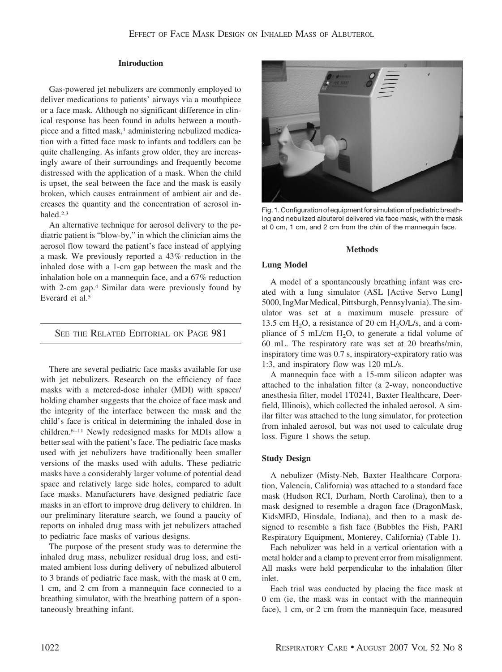# **Introduction**

Gas-powered jet nebulizers are commonly employed to deliver medications to patients' airways via a mouthpiece or a face mask. Although no significant difference in clinical response has been found in adults between a mouthpiece and a fitted mask,<sup>1</sup> administering nebulized medication with a fitted face mask to infants and toddlers can be quite challenging. As infants grow older, they are increasingly aware of their surroundings and frequently become distressed with the application of a mask. When the child is upset, the seal between the face and the mask is easily broken, which causes entrainment of ambient air and decreases the quantity and the concentration of aerosol inhaled.2,3

An alternative technique for aerosol delivery to the pediatric patient is "blow-by," in which the clinician aims the aerosol flow toward the patient's face instead of applying a mask. We previously reported a 43% reduction in the inhaled dose with a 1-cm gap between the mask and the inhalation hole on a mannequin face, and a 67% reduction with 2-cm gap.4 Similar data were previously found by Everard et al.5

SEE THE RELATED EDITORIAL ON PAGE 981

There are several pediatric face masks available for use with jet nebulizers. Research on the efficiency of face masks with a metered-dose inhaler (MDI) with spacer/ holding chamber suggests that the choice of face mask and the integrity of the interface between the mask and the child's face is critical in determining the inhaled dose in children.6 –11 Newly redesigned masks for MDIs allow a better seal with the patient's face. The pediatric face masks used with jet nebulizers have traditionally been smaller versions of the masks used with adults. These pediatric masks have a considerably larger volume of potential dead space and relatively large side holes, compared to adult face masks. Manufacturers have designed pediatric face masks in an effort to improve drug delivery to children. In our preliminary literature search, we found a paucity of reports on inhaled drug mass with jet nebulizers attached to pediatric face masks of various designs.

The purpose of the present study was to determine the inhaled drug mass, nebulizer residual drug loss, and estimated ambient loss during delivery of nebulized albuterol to 3 brands of pediatric face mask, with the mask at 0 cm, 1 cm, and 2 cm from a mannequin face connected to a breathing simulator, with the breathing pattern of a spontaneously breathing infant.



Fig. 1. Configuration of equipment for simulation of pediatric breathing and nebulized albuterol delivered via face mask, with the mask at 0 cm, 1 cm, and 2 cm from the chin of the mannequin face.

## **Methods**

# **Lung Model**

A model of a spontaneously breathing infant was created with a lung simulator (ASL [Active Servo Lung] 5000, IngMar Medical, Pittsburgh, Pennsylvania). The simulator was set at a maximum muscle pressure of 13.5 cm  $H_2O$ , a resistance of 20 cm  $H_2O/L/s$ , and a compliance of 5 mL/cm  $H_2O$ , to generate a tidal volume of 60 mL. The respiratory rate was set at 20 breaths/min, inspiratory time was 0.7 s, inspiratory-expiratory ratio was 1:3, and inspiratory flow was 120 mL/s.

A mannequin face with a 15-mm silicon adapter was attached to the inhalation filter (a 2-way, nonconductive anesthesia filter, model 1T0241, Baxter Healthcare, Deerfield, Illinois), which collected the inhaled aerosol. A similar filter was attached to the lung simulator, for protection from inhaled aerosol, but was not used to calculate drug loss. Figure 1 shows the setup.

# **Study Design**

A nebulizer (Misty-Neb, Baxter Healthcare Corporation, Valencia, California) was attached to a standard face mask (Hudson RCI, Durham, North Carolina), then to a mask designed to resemble a dragon face (DragonMask, KidsMED, Hinsdale, Indiana), and then to a mask designed to resemble a fish face (Bubbles the Fish, PARI Respiratory Equipment, Monterey, California) (Table 1).

Each nebulizer was held in a vertical orientation with a metal holder and a clamp to prevent error from misalignment. All masks were held perpendicular to the inhalation filter inlet.

Each trial was conducted by placing the face mask at 0 cm (ie, the mask was in contact with the mannequin face), 1 cm, or 2 cm from the mannequin face, measured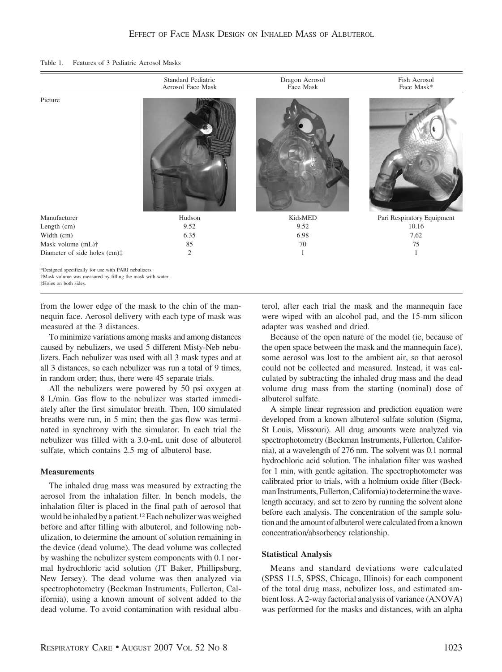| Features of 3 Pediatric Aerosol Masks<br>Table 1. |  |
|---------------------------------------------------|--|
|---------------------------------------------------|--|

|                                                                                                                   | Standard Pediatric<br>Aerosol Face Mask | Dragon Aerosol<br>Face Mask | Fish Aerosol<br>Face Mask* |
|-------------------------------------------------------------------------------------------------------------------|-----------------------------------------|-----------------------------|----------------------------|
| Picture                                                                                                           |                                         |                             |                            |
| Manufacturer                                                                                                      | Hudson                                  | KidsMED                     | Pari Respiratory Equipment |
| Length (cm)                                                                                                       | 9.52                                    | 9.52                        | 10.16                      |
| Width (cm)                                                                                                        | 6.35                                    | 6.98                        | 7.62                       |
| Mask volume (mL)†                                                                                                 | 85                                      | 70                          | 75                         |
| Diameter of side holes (cm):                                                                                      | $\mathfrak{2}$                          | 1                           | $\mathbf{1}$               |
| *Designed specifically for use with PARI nebulizers.<br>†Mask volume was measured by filling the mask with water. |                                         |                             |                            |

‡Holes on both sides.

from the lower edge of the mask to the chin of the mannequin face. Aerosol delivery with each type of mask was measured at the 3 distances.

To minimize variations among masks and among distances caused by nebulizers, we used 5 different Misty-Neb nebulizers. Each nebulizer was used with all 3 mask types and at all 3 distances, so each nebulizer was run a total of 9 times, in random order; thus, there were 45 separate trials.

All the nebulizers were powered by 50 psi oxygen at 8 L/min. Gas flow to the nebulizer was started immediately after the first simulator breath. Then, 100 simulated breaths were run, in 5 min; then the gas flow was terminated in synchrony with the simulator. In each trial the nebulizer was filled with a 3.0-mL unit dose of albuterol sulfate, which contains 2.5 mg of albuterol base.

## **Measurements**

The inhaled drug mass was measured by extracting the aerosol from the inhalation filter. In bench models, the inhalation filter is placed in the final path of aerosol that would be inhaled by a patient.<sup>12</sup> Each nebulizer was weighed before and after filling with albuterol, and following nebulization, to determine the amount of solution remaining in the device (dead volume). The dead volume was collected by washing the nebulizer system components with 0.1 normal hydrochloric acid solution (JT Baker, Phillipsburg, New Jersey). The dead volume was then analyzed via spectrophotometry (Beckman Instruments, Fullerton, California), using a known amount of solvent added to the dead volume. To avoid contamination with residual albu-

terol, after each trial the mask and the mannequin face were wiped with an alcohol pad, and the 15-mm silicon adapter was washed and dried.

Because of the open nature of the model (ie, because of the open space between the mask and the mannequin face), some aerosol was lost to the ambient air, so that aerosol could not be collected and measured. Instead, it was calculated by subtracting the inhaled drug mass and the dead volume drug mass from the starting (nominal) dose of albuterol sulfate.

A simple linear regression and prediction equation were developed from a known albuterol sulfate solution (Sigma, St Louis, Missouri). All drug amounts were analyzed via spectrophotometry (Beckman Instruments, Fullerton, California), at a wavelength of 276 nm. The solvent was 0.1 normal hydrochloric acid solution. The inhalation filter was washed for 1 min, with gentle agitation. The spectrophotometer was calibrated prior to trials, with a holmium oxide filter (Beckman Instruments, Fullerton, California) to determine the wavelength accuracy, and set to zero by running the solvent alone before each analysis. The concentration of the sample solution and the amount of albuterol were calculated from a known concentration/absorbency relationship.

# **Statistical Analysis**

Means and standard deviations were calculated (SPSS 11.5, SPSS, Chicago, Illinois) for each component of the total drug mass, nebulizer loss, and estimated ambient loss. A 2-way factorial analysis of variance (ANOVA) was performed for the masks and distances, with an alpha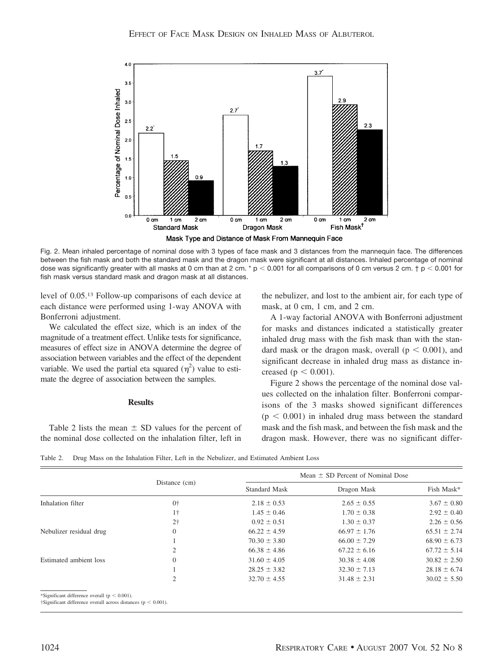

Fig. 2. Mean inhaled percentage of nominal dose with 3 types of face mask and 3 distances from the mannequin face. The differences between the fish mask and both the standard mask and the dragon mask were significant at all distances. Inhaled percentage of nominal dose was significantly greater with all masks at 0 cm than at 2 cm. \* p < 0.001 for all comparisons of 0 cm versus 2 cm. † p < 0.001 for fish mask versus standard mask and dragon mask at all distances.

level of 0.05.13 Follow-up comparisons of each device at each distance were performed using 1-way ANOVA with Bonferroni adjustment.

We calculated the effect size, which is an index of the magnitude of a treatment effect. Unlike tests for significance, measures of effect size in ANOVA determine the degree of association between variables and the effect of the dependent variable. We used the partial eta squared  $(\eta^2)$  value to estimate the degree of association between the samples.

#### **Results**

Table 2 lists the mean  $\pm$  SD values for the percent of the nominal dose collected on the inhalation filter, left in the nebulizer, and lost to the ambient air, for each type of mask, at 0 cm, 1 cm, and 2 cm.

A 1-way factorial ANOVA with Bonferroni adjustment for masks and distances indicated a statistically greater inhaled drug mass with the fish mask than with the standard mask or the dragon mask, overall  $(p < 0.001)$ , and significant decrease in inhaled drug mass as distance increased ( $p < 0.001$ ).

Figure 2 shows the percentage of the nominal dose values collected on the inhalation filter. Bonferroni comparisons of the 3 masks showed significant differences  $(p < 0.001)$  in inhaled drug mass between the standard mask and the fish mask, and between the fish mask and the dragon mask. However, there was no significant differ-

Table 2. Drug Mass on the Inhalation Filter, Left in the Nebulizer, and Estimated Ambient Loss

|                                                                                                                                | Distance (cm)  | Mean $\pm$ SD Percent of Nominal Dose |                  |                  |
|--------------------------------------------------------------------------------------------------------------------------------|----------------|---------------------------------------|------------------|------------------|
|                                                                                                                                |                | <b>Standard Mask</b>                  | Dragon Mask      | Fish Mask*       |
| Inhalation filter                                                                                                              | $0+$           | $2.18 \pm 0.53$                       | $2.65 \pm 0.55$  | $3.67 \pm 0.80$  |
|                                                                                                                                | $1\dagger$     | $1.45 \pm 0.46$                       | $1.70 \pm 0.38$  | $2.92 \pm 0.40$  |
|                                                                                                                                | 2 <sup>†</sup> | $0.92 \pm 0.51$                       | $1.30 \pm 0.37$  | $2.26 \pm 0.56$  |
| Nebulizer residual drug                                                                                                        | $\Omega$       | $66.22 \pm 4.59$                      | $66.97 \pm 1.76$ | $65.51 \pm 2.74$ |
|                                                                                                                                |                | $70.30 \pm 3.80$                      | $66.00 \pm 7.29$ | $68.90 \pm 6.73$ |
|                                                                                                                                |                | $66.38 \pm 4.86$                      | $67.22 \pm 6.16$ | $67.72 \pm 5.14$ |
| Estimated ambient loss                                                                                                         | $\Omega$       | $31.60 \pm 4.05$                      | $30.38 \pm 4.08$ | $30.82 \pm 2.50$ |
|                                                                                                                                |                | $28.25 \pm 3.82$                      | $32.30 \pm 7.13$ | $28.18 \pm 6.74$ |
|                                                                                                                                | 2              | $32.70 \pm 4.55$                      | $31.48 \pm 2.31$ | $30.02 \pm 5.50$ |
| *Significant difference overall ( $p < 0.001$ ).<br>$\dagger$ Significant difference overall across distances ( $p < 0.001$ ). |                |                                       |                  |                  |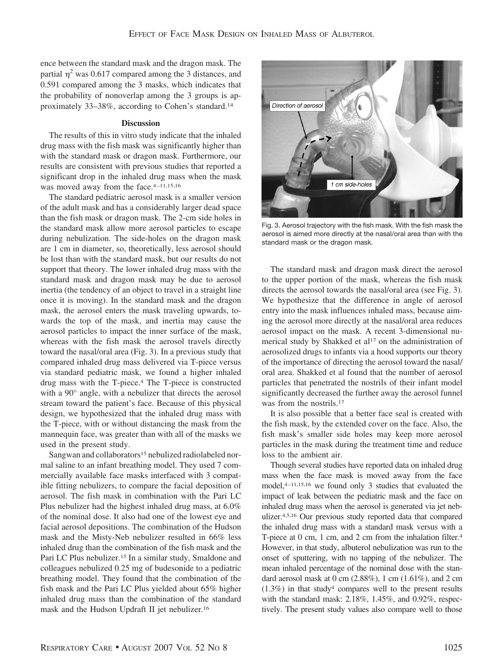ence between the standard mask and the dragon mask. The partial  $\eta^2$  was 0.617 compared among the 3 distances, and 0.591 compared among the 3 masks, which indicates that the probability of nonoverlap among the 3 groups is approximately 33–38%, according to Cohen's standard.14

#### **Discussion**

The results of this in vitro study indicate that the inhaled drug mass with the fish mask was significantly higher than with the standard mask or dragon mask. Furthermore, our results are consistent with previous studies that reported a significant drop in the inhaled drug mass when the mask was moved away from the face.<sup>4-11,15,16</sup>

The standard pediatric aerosol mask is a smaller version of the adult mask and has a considerably larger dead space than the fish mask or dragon mask. The 2-cm side holes in the standard mask allow more aerosol particles to escape during nebulization. The side-holes on the dragon mask are 1 cm in diameter, so, theoretically, less aerosol should be lost than with the standard mask, but our results do not support that theory. The lower inhaled drug mass with the standard mask and dragon mask may be due to aerosol inertia (the tendency of an object to travel in a straight line once it is moving). In the standard mask and the dragon mask, the aerosol enters the mask traveling upwards, towards the top of the mask, and inertia may cause the aerosol particles to impact the inner surface of the mask, whereas with the fish mask the aerosol travels directly toward the nasal/oral area (Fig. 3). In a previous study that compared inhaled drug mass delivered via T-piece versus via standard pediatric mask, we found a higher inhaled drug mass with the T-piece.4 The T-piece is constructed with a 90° angle, with a nebulizer that directs the aerosol stream toward the patient's face. Because of this physical design, we hypothesized that the inhaled drug mass with the T-piece, with or without distancing the mask from the mannequin face, was greater than with all of the masks we used in the present study.

Sangwan and collaborators<sup>15</sup> nebulized radiolabeled normal saline to an infant breathing model. They used 7 commercially available face masks interfaced with 3 compatible fitting nebulizers, to compare the facial deposition of aerosol. The fish mask in combination with the Pari LC Plus nebulizer had the highest inhaled drug mass, at 6.0% of the nominal dose. It also had one of the lowest eye and facial aerosol depositions. The combination of the Hudson mask and the Misty-Neb nebulizer resulted in 66% less inhaled drug than the combination of the fish mask and the Pari LC Plus nebulizer.15 In a similar study, Smaldone and colleagues nebulized 0.25 mg of budesonide to a pediatric breathing model. They found that the combination of the fish mask and the Pari LC Plus yielded about 65% higher inhaled drug mass than the combination of the standard mask and the Hudson Updraft II jet nebulizer.16



Fig. 3. Aerosol trajectory with the fish mask. With the fish mask the aerosol is aimed more directly at the nasal/oral area than with the standard mask or the dragon mask.

The standard mask and dragon mask direct the aerosol to the upper portion of the mask, whereas the fish mask directs the aerosol towards the nasal/oral area (see Fig. 3). We hypothesize that the difference in angle of aerosol entry into the mask influences inhaled mass, because aiming the aerosol more directly at the nasal/oral area reduces aerosol impact on the mask. A recent 3-dimensional numerical study by Shakked et al<sup>17</sup> on the administration of aerosolized drugs to infants via a hood supports our theory of the importance of directing the aerosol toward the nasal/ oral area. Shakked et al found that the number of aerosol particles that penetrated the nostrils of their infant model significantly decreased the further away the aerosol funnel was from the nostrils.<sup>17</sup>

It is also possible that a better face seal is created with the fish mask, by the extended cover on the face. Also, the fish mask's smaller side holes may keep more aerosol particles in the mask during the treatment time and reduce loss to the ambient air.

Though several studies have reported data on inhaled drug mass when the face mask is moved away from the face model,<sup>4-11,15,16</sup> we found only 3 studies that evaluated the impact of leak between the pediatric mask and the face on inhaled drug mass when the aerosol is generated via jet nebulizer.4,5,16 Our previous study reported data that compared the inhaled drug mass with a standard mask versus with a T-piece at 0 cm, 1 cm, and 2 cm from the inhalation filter.4 However, in that study, albuterol nebulization was run to the onset of sputtering, with no tapping of the nebulizer. The mean inhaled percentage of the nominal dose with the standard aerosol mask at 0 cm (2.88%), 1 cm (1.61%), and 2 cm  $(1.3\%)$  in that study<sup>4</sup> compares well to the present results with the standard mask: 2.18%, 1.45%, and 0.92%, respectively. The present study values also compare well to those